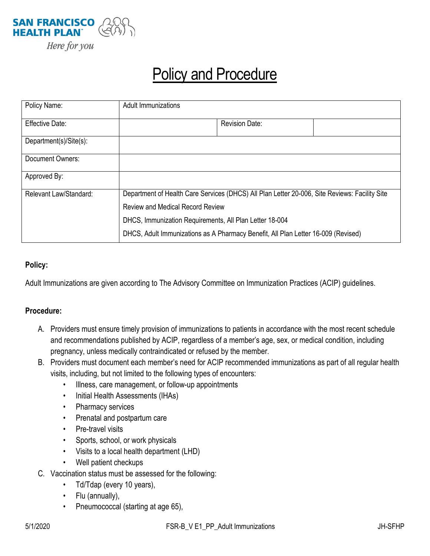

# Policy and Procedure

| Policy Name:           | <b>Adult Immunizations</b>                                                                                                                                                                                                                                                               |                       |  |
|------------------------|------------------------------------------------------------------------------------------------------------------------------------------------------------------------------------------------------------------------------------------------------------------------------------------|-----------------------|--|
| <b>Effective Date:</b> |                                                                                                                                                                                                                                                                                          | <b>Revision Date:</b> |  |
| Department(s)/Site(s): |                                                                                                                                                                                                                                                                                          |                       |  |
| Document Owners:       |                                                                                                                                                                                                                                                                                          |                       |  |
| Approved By:           |                                                                                                                                                                                                                                                                                          |                       |  |
| Relevant Law/Standard: | Department of Health Care Services (DHCS) All Plan Letter 20-006, Site Reviews: Facility Site<br><b>Review and Medical Record Review</b><br>DHCS, Immunization Requirements, All Plan Letter 18-004<br>DHCS, Adult Immunizations as A Pharmacy Benefit, All Plan Letter 16-009 (Revised) |                       |  |
|                        |                                                                                                                                                                                                                                                                                          |                       |  |
|                        |                                                                                                                                                                                                                                                                                          |                       |  |
|                        |                                                                                                                                                                                                                                                                                          |                       |  |

### **Policy:**

Adult Immunizations are given according to The Advisory Committee on Immunization Practices (ACIP) guidelines.

#### **Procedure:**

- A. Providers must ensure timely provision of immunizations to patients in accordance with the most recent schedule and recommendations published by ACIP, regardless of a member's age, sex, or medical condition, including pregnancy, unless medically contraindicated or refused by the member.
- B. Providers must document each member's need for ACIP recommended immunizations as part of all regular health visits, including, but not limited to the following types of encounters:
	- Illness, care management, or follow-up appointments
	- Initial Health Assessments (IHAs)
	- Pharmacy services
	- Prenatal and postpartum care
	- Pre-travel visits
	- Sports, school, or work physicals
	- Visits to a local health department (LHD)
	- Well patient checkups
- C. Vaccination status must be assessed for the following:
	- Td/Tdap (every 10 years),
	- Flu (annually),
	- Pneumococcal (starting at age 65),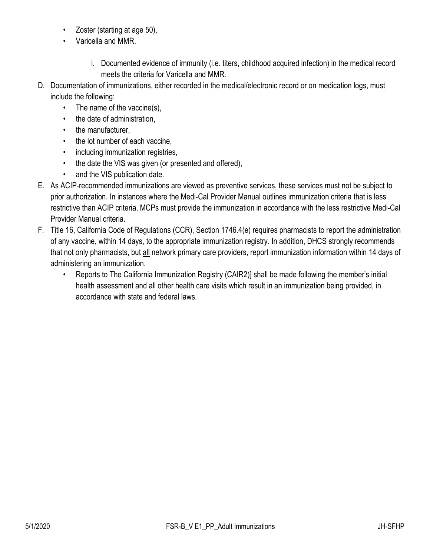- Zoster (starting at age 50),
- Varicella and MMR.
	- i. Documented evidence of immunity (i.e. titers, childhood acquired infection) in the medical record meets the criteria for Varicella and MMR.
- D. Documentation of immunizations, either recorded in the medical/electronic record or on medication logs, must include the following:
	- The name of the vaccine(s),
	- the date of administration,
	- the manufacturer,
	- the lot number of each vaccine,
	- including immunization registries,
	- the date the VIS was given (or presented and offered),
	- and the VIS publication date.
- E. As ACIP-recommended immunizations are viewed as preventive services, these services must not be subject to prior authorization. In instances where the Medi-Cal Provider Manual outlines immunization criteria that is less restrictive than ACIP criteria, MCPs must provide the immunization in accordance with the less restrictive Medi-Cal Provider Manual criteria.
- F. Title 16, California Code of Regulations (CCR), Section 1746.4(e) requires pharmacists to report the administration of any vaccine, within 14 days, to the appropriate immunization registry. In addition, DHCS strongly recommends that not only pharmacists, but all network primary care providers, report immunization information within 14 days of administering an immunization.
	- Reports to The California Immunization Registry (CAIR2)] shall be made following the member's initial health assessment and all other health care visits which result in an immunization being provided, in accordance with state and federal laws.